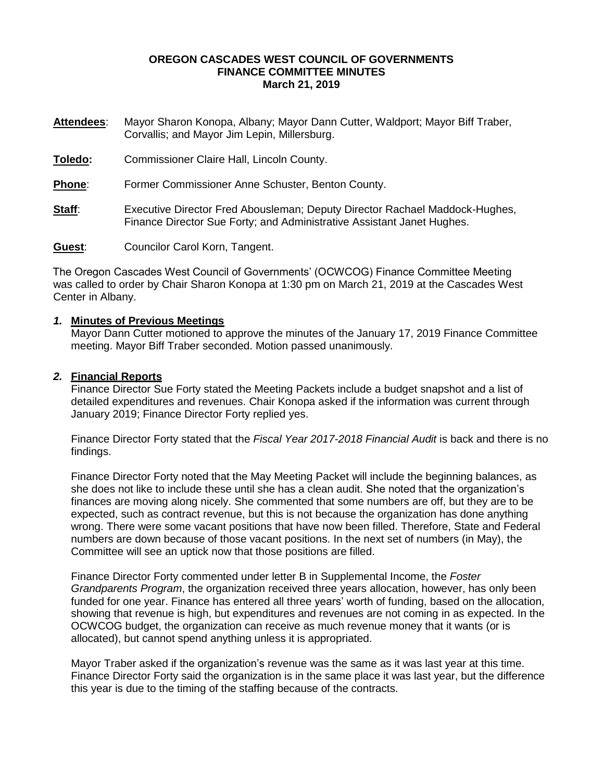## **OREGON CASCADES WEST COUNCIL OF GOVERNMENTS FINANCE COMMITTEE MINUTES March 21, 2019**

| <b>Attendees:</b> | Mayor Sharon Konopa, Albany; Mayor Dann Cutter, Waldport; Mayor Biff Traber, |
|-------------------|------------------------------------------------------------------------------|
|                   | Corvallis; and Mayor Jim Lepin, Millersburg.                                 |

**Toledo:** Commissioner Claire Hall, Lincoln County.

**Phone**: Former Commissioner Anne Schuster, Benton County.

**Staff:** Executive Director Fred Abousleman; Deputy Director Rachael Maddock-Hughes, Finance Director Sue Forty; and Administrative Assistant Janet Hughes.

**Guest**: Councilor Carol Korn, Tangent.

The Oregon Cascades West Council of Governments' (OCWCOG) Finance Committee Meeting was called to order by Chair Sharon Konopa at 1:30 pm on March 21, 2019 at the Cascades West Center in Albany.

# *1.* **Minutes of Previous Meetings**

Mayor Dann Cutter motioned to approve the minutes of the January 17, 2019 Finance Committee meeting. Mayor Biff Traber seconded. Motion passed unanimously.

# *2.* **Financial Reports**

Finance Director Sue Forty stated the Meeting Packets include a budget snapshot and a list of detailed expenditures and revenues. Chair Konopa asked if the information was current through January 2019; Finance Director Forty replied yes.

Finance Director Forty stated that the *Fiscal Year 2017-2018 Financial Audit* is back and there is no findings.

Finance Director Forty noted that the May Meeting Packet will include the beginning balances, as she does not like to include these until she has a clean audit. She noted that the organization's finances are moving along nicely. She commented that some numbers are off, but they are to be expected, such as contract revenue, but this is not because the organization has done anything wrong. There were some vacant positions that have now been filled. Therefore, State and Federal numbers are down because of those vacant positions. In the next set of numbers (in May), the Committee will see an uptick now that those positions are filled.

Finance Director Forty commented under letter B in Supplemental Income, the *Foster Grandparents Program*, the organization received three years allocation, however, has only been funded for one year. Finance has entered all three years' worth of funding, based on the allocation, showing that revenue is high, but expenditures and revenues are not coming in as expected. In the OCWCOG budget, the organization can receive as much revenue money that it wants (or is allocated), but cannot spend anything unless it is appropriated.

Mayor Traber asked if the organization's revenue was the same as it was last year at this time. Finance Director Forty said the organization is in the same place it was last year, but the difference this year is due to the timing of the staffing because of the contracts.